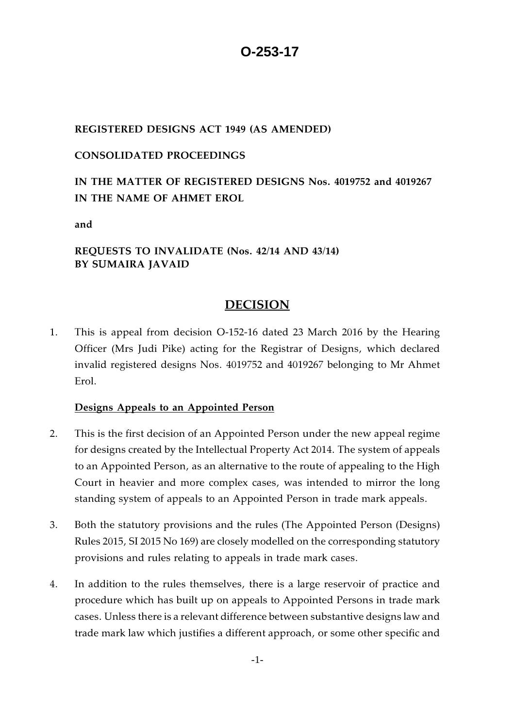# **O-253-17**

### **REGISTERED DESIGNS ACT 1949 (AS AMENDED)**

### **CONSOLIDATED PROCEEDINGS**

## **IN THE MATTER OF REGISTERED DESIGNS Nos. 4019752 and 4019267 IN THE NAME OF AHMET EROL**

**and** 

## **REQUESTS TO INVALIDATE (Nos. 42/14 AND 43/14) BY SUMAIRA JAVAID**

## **DECISION**

1. This is appeal from decision O-152-16 dated 23 March 2016 by the Hearing Officer (Mrs Judi Pike) acting for the Registrar of Designs, which declared invalid registered designs Nos. 4019752 and 4019267 belonging to Mr Ahmet Erol.

## **Designs Appeals to an Appointed Person**

- 2. This is the first decision of an Appointed Person under the new appeal regime for designs created by the Intellectual Property Act 2014. The system of appeals to an Appointed Person, as an alternative to the route of appealing to the High Court in heavier and more complex cases, was intended to mirror the long standing system of appeals to an Appointed Person in trade mark appeals.
- 3. Both the statutory provisions and the rules (The Appointed Person (Designs) Rules 2015, SI 2015 No 169) are closely modelled on the corresponding statutory provisions and rules relating to appeals in trade mark cases.
- 4. In addition to the rules themselves, there is a large reservoir of practice and procedure which has built up on appeals to Appointed Persons in trade mark cases. Unless there is a relevant difference between substantive designs law and trade mark law which justifies a different approach, or some other specific and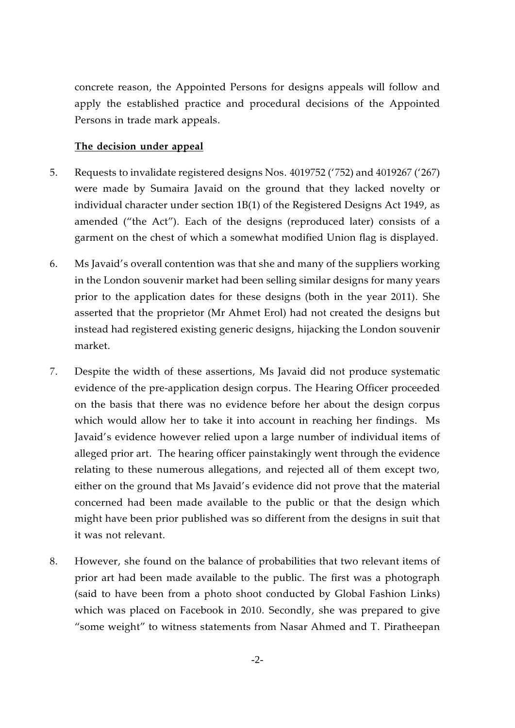concrete reason, the Appointed Persons for designs appeals will follow and apply the established practice and procedural decisions of the Appointed Persons in trade mark appeals.

#### **The decision under appeal**

- 5. Requests to invalidate registered designs Nos. 4019752 ('752) and 4019267 ('267) were made by Sumaira Javaid on the ground that they lacked novelty or individual character under section 1B(1) of the Registered Designs Act 1949, as amended ("the Act"). Each of the designs (reproduced later) consists of a garment on the chest of which a somewhat modified Union flag is displayed.
- 6. Ms Javaid's overall contention was that she and many of the suppliers working in the London souvenir market had been selling similar designs for many years prior to the application dates for these designs (both in the year 2011). She asserted that the proprietor (Mr Ahmet Erol) had not created the designs but instead had registered existing generic designs, hijacking the London souvenir market.
- 7. Despite the width of these assertions, Ms Javaid did not produce systematic evidence of the pre-application design corpus. The Hearing Officer proceeded on the basis that there was no evidence before her about the design corpus which would allow her to take it into account in reaching her findings. Ms Javaid's evidence however relied upon a large number of individual items of alleged prior art. The hearing officer painstakingly went through the evidence relating to these numerous allegations, and rejected all of them except two, either on the ground that Ms Javaid's evidence did not prove that the material concerned had been made available to the public or that the design which might have been prior published was so different from the designs in suit that it was not relevant.
- 8. However, she found on the balance of probabilities that two relevant items of prior art had been made available to the public. The first was a photograph (said to have been from a photo shoot conducted by Global Fashion Links) which was placed on Facebook in 2010. Secondly, she was prepared to give "some weight" to witness statements from Nasar Ahmed and T. Piratheepan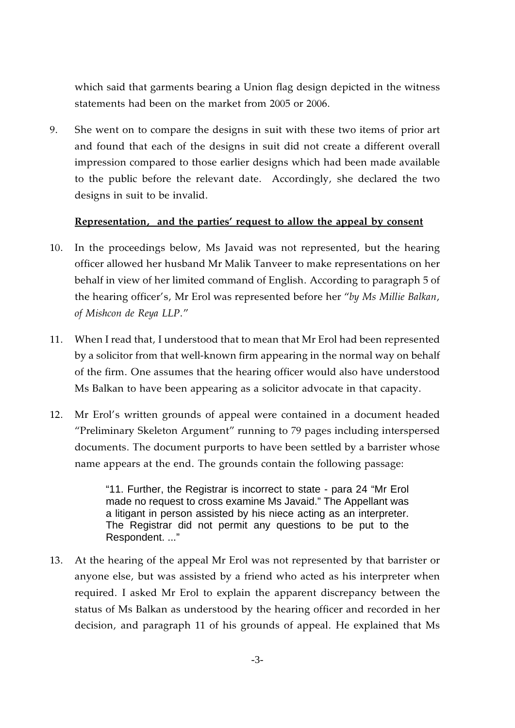which said that garments bearing a Union flag design depicted in the witness statements had been on the market from 2005 or 2006.

9. She went on to compare the designs in suit with these two items of prior art and found that each of the designs in suit did not create a different overall impression compared to those earlier designs which had been made available to the public before the relevant date. Accordingly, she declared the two designs in suit to be invalid.

#### **Representation, and the parties' request to allow the appeal by consent**

- 10. In the proceedings below, Ms Javaid was not represented, but the hearing officer allowed her husband Mr Malik Tanveer to make representations on her behalf in view of her limited command of English. According to paragraph 5 of the hearing officer's, Mr Erol was represented before her "*by Ms Millie Balkan, of Mishcon de Reya LLP*."
- 11. When I read that, I understood that to mean that Mr Erol had been represented by a solicitor from that well-known firm appearing in the normal way on behalf of the firm. One assumes that the hearing officer would also have understood Ms Balkan to have been appearing as a solicitor advocate in that capacity.
- 12. Mr Erol's written grounds of appeal were contained in a document headed "Preliminary Skeleton Argument" running to 79 pages including interspersed documents. The document purports to have been settled by a barrister whose name appears at the end. The grounds contain the following passage:

"11. Further, the Registrar is incorrect to state - para 24 "Mr Erol made no request to cross examine Ms Javaid." The Appellant was a litigant in person assisted by his niece acting as an interpreter. The Registrar did not permit any questions to be put to the Respondent. ..."

13. At the hearing of the appeal Mr Erol was not represented by that barrister or anyone else, but was assisted by a friend who acted as his interpreter when required. I asked Mr Erol to explain the apparent discrepancy between the status of Ms Balkan as understood by the hearing officer and recorded in her decision, and paragraph 11 of his grounds of appeal. He explained that Ms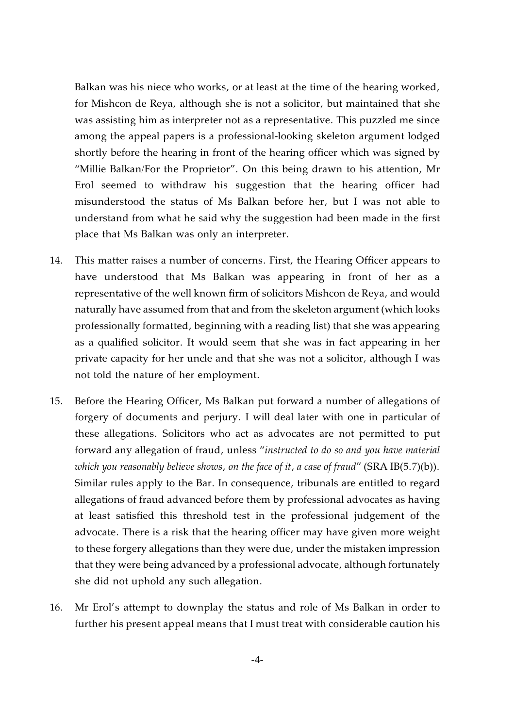Balkan was his niece who works, or at least at the time of the hearing worked, for Mishcon de Reya, although she is not a solicitor, but maintained that she was assisting him as interpreter not as a representative. This puzzled me since among the appeal papers is a professional-looking skeleton argument lodged shortly before the hearing in front of the hearing officer which was signed by "Millie Balkan/For the Proprietor". On this being drawn to his attention, Mr Erol seemed to withdraw his suggestion that the hearing officer had misunderstood the status of Ms Balkan before her, but I was not able to understand from what he said why the suggestion had been made in the first place that Ms Balkan was only an interpreter.

- 14. This matter raises a number of concerns. First, the Hearing Officer appears to have understood that Ms Balkan was appearing in front of her as a representative of the well known firm of solicitors Mishcon de Reya, and would naturally have assumed from that and from the skeleton argument (which looks professionally formatted, beginning with a reading list) that she was appearing as a qualified solicitor. It would seem that she was in fact appearing in her private capacity for her uncle and that she was not a solicitor, although I was not told the nature of her employment.
- 15. Before the Hearing Officer, Ms Balkan put forward a number of allegations of forgery of documents and perjury. I will deal later with one in particular of these allegations. Solicitors who act as advocates are not permitted to put forward any allegation of fraud, unless "*instructed to do so and you have material which you reasonably believe shows, on the face of it, a case of fraud*" (SRA IB(5.7)(b)). Similar rules apply to the Bar. In consequence, tribunals are entitled to regard allegations of fraud advanced before them by professional advocates as having at least satisfied this threshold test in the professional judgement of the advocate. There is a risk that the hearing officer may have given more weight to these forgery allegations than they were due, under the mistaken impression that they were being advanced by a professional advocate, although fortunately she did not uphold any such allegation.
- 16. Mr Erol's attempt to downplay the status and role of Ms Balkan in order to further his present appeal means that I must treat with considerable caution his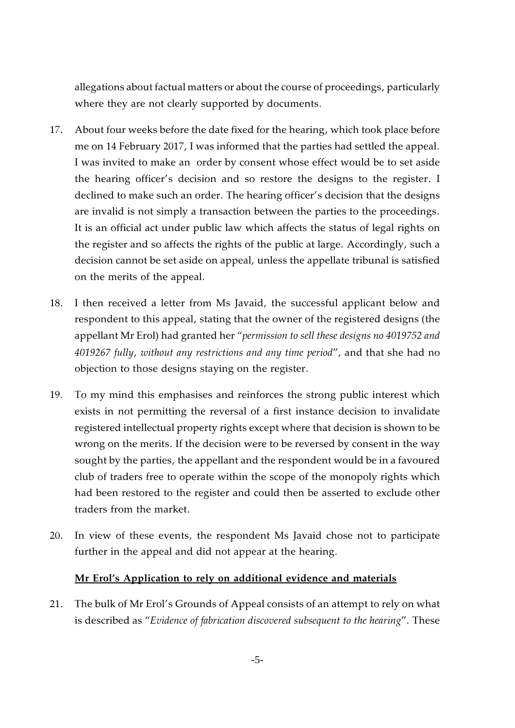allegations about factual matters or about the course of proceedings, particularly where they are not clearly supported by documents.

- 17. About four weeks before the date fixed for the hearing, which took place before me on 14 February 2017, I was informed that the parties had settled the appeal. I was invited to make an order by consent whose effect would be to set aside the hearing officer's decision and so restore the designs to the register. I declined to make such an order. The hearing officer's decision that the designs are invalid is not simply a transaction between the parties to the proceedings. It is an official act under public law which affects the status of legal rights on the register and so affects the rights of the public at large. Accordingly, such a decision cannot be set aside on appeal, unless the appellate tribunal is satisfied on the merits of the appeal.
- 18. I then received a letter from Ms Javaid, the successful applicant below and respondent to this appeal, stating that the owner of the registered designs (the appellant Mr Erol) had granted her "*permission to sell these designs no 4019752 and 4019267 fully, without any restrictions and any time period*", and that she had no objection to those designs staying on the register.
- 19. To my mind this emphasises and reinforces the strong public interest which exists in not permitting the reversal of a first instance decision to invalidate registered intellectual property rights except where that decision is shown to be wrong on the merits. If the decision were to be reversed by consent in the way sought by the parties, the appellant and the respondent would be in a favoured club of traders free to operate within the scope of the monopoly rights which had been restored to the register and could then be asserted to exclude other traders from the market.
- 20. In view of these events, the respondent Ms Javaid chose not to participate further in the appeal and did not appear at the hearing.

#### **Mr Erol's Application to rely on additional evidence and materials**

21. The bulk of Mr Erol's Grounds of Appeal consists of an attempt to rely on what is described as "*Evidence of fabrication discovered subsequent to the hearing*". These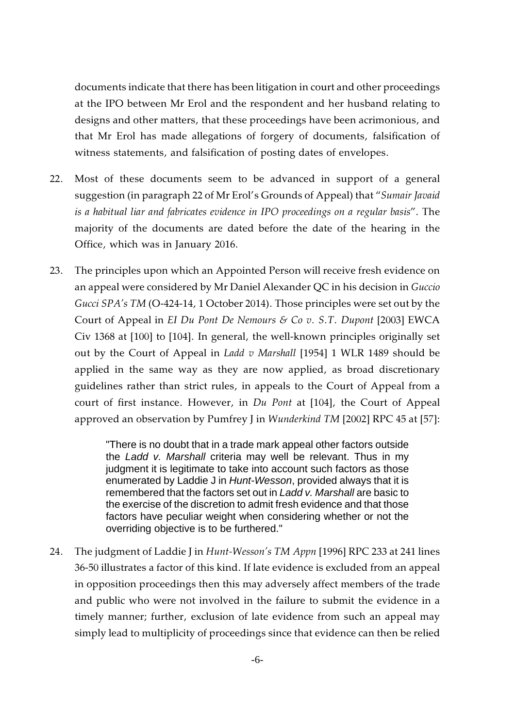documents indicate that there has been litigation in court and other proceedings at the IPO between Mr Erol and the respondent and her husband relating to designs and other matters, that these proceedings have been acrimonious, and that Mr Erol has made allegations of forgery of documents, falsification of witness statements, and falsification of posting dates of envelopes.

- 22. Most of these documents seem to be advanced in support of a general suggestion (in paragraph 22 of Mr Erol's Grounds of Appeal) that "*Sumair Javaid is a habitual liar and fabricates evidence in IPO proceedings on a regular basis*". The majority of the documents are dated before the date of the hearing in the Office, which was in January 2016.
- 23. The principles upon which an Appointed Person will receive fresh evidence on an appeal were considered by Mr Daniel Alexander QC in his decision in *Guccio Gucci SPA's TM* (O-424-14, 1 October 2014). Those principles were set out by the Court of Appeal in *EI Du Pont De Nemours & Co v. S.T. Dupont* [2003] EWCA Civ 1368 at [100] to [104]. In general, the well-known principles originally set out by the Court of Appeal in *Ladd v Marshall* [1954] 1 WLR 1489 should be applied in the same way as they are now applied, as broad discretionary guidelines rather than strict rules, in appeals to the Court of Appeal from a court of first instance. However, in *Du Pont* at [104], the Court of Appeal approved an observation by Pumfrey J in *Wunderkind TM* [2002] RPC 45 at [57]:

"There is no doubt that in a trade mark appeal other factors outside the *Ladd v. Marshall* criteria may well be relevant. Thus in my judgment it is legitimate to take into account such factors as those enumerated by Laddie J in *Hunt-Wesson*, provided always that it is remembered that the factors set out in *Ladd v. Marshall* are basic to the exercise of the discretion to admit fresh evidence and that those factors have peculiar weight when considering whether or not the overriding objective is to be furthered."

24. The judgment of Laddie J in *Hunt-Wesson's TM Appn* [1996] RPC 233 at 241 lines 36-50 illustrates a factor of this kind. If late evidence is excluded from an appeal in opposition proceedings then this may adversely affect members of the trade and public who were not involved in the failure to submit the evidence in a timely manner; further, exclusion of late evidence from such an appeal may simply lead to multiplicity of proceedings since that evidence can then be relied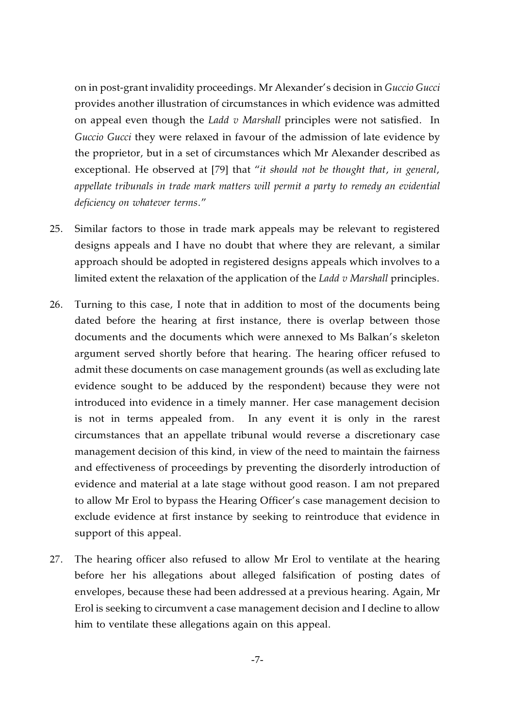on in post-grant invalidity proceedings. Mr Alexander's decision in *Guccio Gucci*  provides another illustration of circumstances in which evidence was admitted on appeal even though the *Ladd v Marshall* principles were not satisfied. In *Guccio Gucci* they were relaxed in favour of the admission of late evidence by the proprietor, but in a set of circumstances which Mr Alexander described as exceptional. He observed at [79] that "*it should not be thought that, in general, appellate tribunals in trade mark matters will permit a party to remedy an evidential deficiency on whatever terms.*"

- 25. Similar factors to those in trade mark appeals may be relevant to registered designs appeals and I have no doubt that where they are relevant, a similar approach should be adopted in registered designs appeals which involves to a limited extent the relaxation of the application of the *Ladd v Marshall* principles.
- 26. Turning to this case, I note that in addition to most of the documents being dated before the hearing at first instance, there is overlap between those documents and the documents which were annexed to Ms Balkan's skeleton argument served shortly before that hearing. The hearing officer refused to admit these documents on case management grounds (as well as excluding late evidence sought to be adduced by the respondent) because they were not introduced into evidence in a timely manner. Her case management decision is not in terms appealed from. In any event it is only in the rarest circumstances that an appellate tribunal would reverse a discretionary case management decision of this kind, in view of the need to maintain the fairness and effectiveness of proceedings by preventing the disorderly introduction of evidence and material at a late stage without good reason. I am not prepared to allow Mr Erol to bypass the Hearing Officer's case management decision to exclude evidence at first instance by seeking to reintroduce that evidence in support of this appeal.
- 27. The hearing officer also refused to allow Mr Erol to ventilate at the hearing before her his allegations about alleged falsification of posting dates of envelopes, because these had been addressed at a previous hearing. Again, Mr Erol is seeking to circumvent a case management decision and I decline to allow him to ventilate these allegations again on this appeal.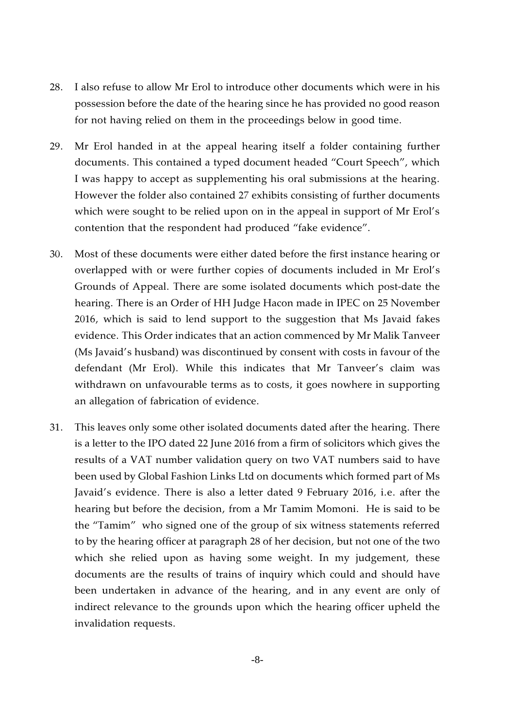- 28. I also refuse to allow Mr Erol to introduce other documents which were in his possession before the date of the hearing since he has provided no good reason for not having relied on them in the proceedings below in good time.
- 29. Mr Erol handed in at the appeal hearing itself a folder containing further documents. This contained a typed document headed "Court Speech", which I was happy to accept as supplementing his oral submissions at the hearing. However the folder also contained 27 exhibits consisting of further documents which were sought to be relied upon on in the appeal in support of Mr Erol's contention that the respondent had produced "fake evidence".
- 30. Most of these documents were either dated before the first instance hearing or overlapped with or were further copies of documents included in Mr Erol's Grounds of Appeal. There are some isolated documents which post-date the hearing. There is an Order of HH Judge Hacon made in IPEC on 25 November 2016, which is said to lend support to the suggestion that Ms Javaid fakes evidence. This Order indicates that an action commenced by Mr Malik Tanveer (Ms Javaid's husband) was discontinued by consent with costs in favour of the defendant (Mr Erol). While this indicates that Mr Tanveer's claim was withdrawn on unfavourable terms as to costs, it goes nowhere in supporting an allegation of fabrication of evidence.
- 31. This leaves only some other isolated documents dated after the hearing. There is a letter to the IPO dated 22 June 2016 from a firm of solicitors which gives the results of a VAT number validation query on two VAT numbers said to have been used by Global Fashion Links Ltd on documents which formed part of Ms Javaid's evidence. There is also a letter dated 9 February 2016, i.e. after the hearing but before the decision, from a Mr Tamim Momoni. He is said to be the "Tamim" who signed one of the group of six witness statements referred to by the hearing officer at paragraph 28 of her decision, but not one of the two which she relied upon as having some weight. In my judgement, these documents are the results of trains of inquiry which could and should have been undertaken in advance of the hearing, and in any event are only of indirect relevance to the grounds upon which the hearing officer upheld the invalidation requests.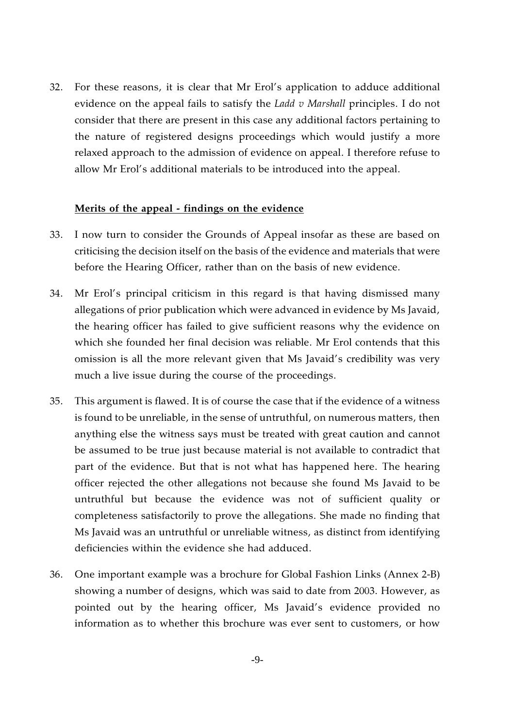32. For these reasons, it is clear that Mr Erol's application to adduce additional evidence on the appeal fails to satisfy the *Ladd v Marshall* principles. I do not consider that there are present in this case any additional factors pertaining to the nature of registered designs proceedings which would justify a more relaxed approach to the admission of evidence on appeal. I therefore refuse to allow Mr Erol's additional materials to be introduced into the appeal.

#### **Merits of the appeal - findings on the evidence**

- 33. I now turn to consider the Grounds of Appeal insofar as these are based on criticising the decision itself on the basis of the evidence and materials that were before the Hearing Officer, rather than on the basis of new evidence.
- 34. Mr Erol's principal criticism in this regard is that having dismissed many allegations of prior publication which were advanced in evidence by Ms Javaid, the hearing officer has failed to give sufficient reasons why the evidence on which she founded her final decision was reliable. Mr Erol contends that this omission is all the more relevant given that Ms Javaid's credibility was very much a live issue during the course of the proceedings.
- 35. This argument is flawed. It is of course the case that if the evidence of a witness is found to be unreliable, in the sense of untruthful, on numerous matters, then anything else the witness says must be treated with great caution and cannot be assumed to be true just because material is not available to contradict that part of the evidence. But that is not what has happened here. The hearing officer rejected the other allegations not because she found Ms Javaid to be untruthful but because the evidence was not of sufficient quality or completeness satisfactorily to prove the allegations. She made no finding that Ms Javaid was an untruthful or unreliable witness, as distinct from identifying deficiencies within the evidence she had adduced.
- 36. One important example was a brochure for Global Fashion Links (Annex 2-B) showing a number of designs, which was said to date from 2003. However, as pointed out by the hearing officer, Ms Javaid's evidence provided no information as to whether this brochure was ever sent to customers, or how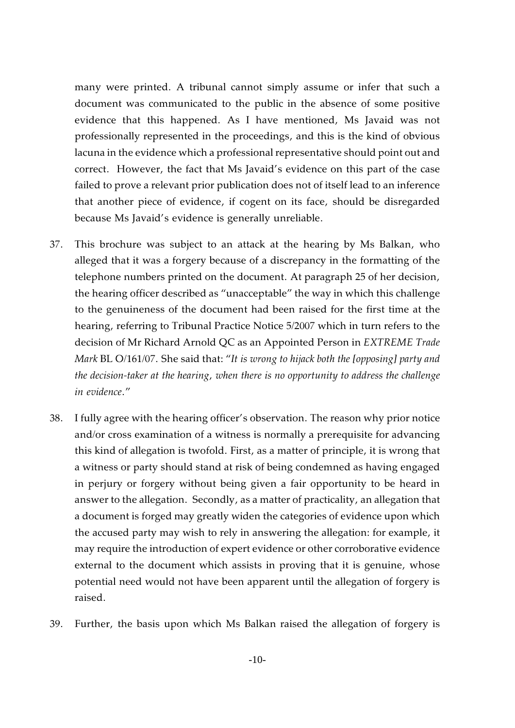many were printed. A tribunal cannot simply assume or infer that such a document was communicated to the public in the absence of some positive evidence that this happened. As I have mentioned, Ms Javaid was not professionally represented in the proceedings, and this is the kind of obvious lacuna in the evidence which a professional representative should point out and correct. However, the fact that Ms Javaid's evidence on this part of the case failed to prove a relevant prior publication does not of itself lead to an inference that another piece of evidence, if cogent on its face, should be disregarded because Ms Javaid's evidence is generally unreliable.

- 37. This brochure was subject to an attack at the hearing by Ms Balkan, who alleged that it was a forgery because of a discrepancy in the formatting of the telephone numbers printed on the document. At paragraph 25 of her decision, the hearing officer described as "unacceptable" the way in which this challenge to the genuineness of the document had been raised for the first time at the hearing, referring to Tribunal Practice Notice 5/2007 which in turn refers to the decision of Mr Richard Arnold QC as an Appointed Person in *EXTREME Trade Mark* BL O/161/07. She said that: "*It is wrong to hijack both the [opposing] party and the decision-taker at the hearing, when there is no opportunity to address the challenge in evidence*."
- 38. I fully agree with the hearing officer's observation. The reason why prior notice and/or cross examination of a witness is normally a prerequisite for advancing this kind of allegation is twofold. First, as a matter of principle, it is wrong that a witness or party should stand at risk of being condemned as having engaged in perjury or forgery without being given a fair opportunity to be heard in answer to the allegation. Secondly, as a matter of practicality, an allegation that a document is forged may greatly widen the categories of evidence upon which the accused party may wish to rely in answering the allegation: for example, it may require the introduction of expert evidence or other corroborative evidence external to the document which assists in proving that it is genuine, whose potential need would not have been apparent until the allegation of forgery is raised.
- 39. Further, the basis upon which Ms Balkan raised the allegation of forgery is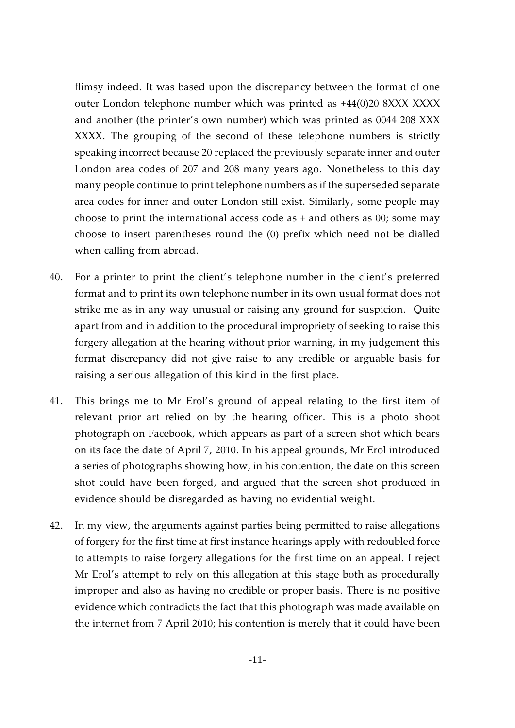flimsy indeed. It was based upon the discrepancy between the format of one outer London telephone number which was printed as +44(0)20 8XXX XXXX and another (the printer's own number) which was printed as 0044 208 XXX XXXX. The grouping of the second of these telephone numbers is strictly speaking incorrect because 20 replaced the previously separate inner and outer London area codes of 207 and 208 many years ago. Nonetheless to this day many people continue to print telephone numbers as if the superseded separate area codes for inner and outer London still exist. Similarly, some people may choose to print the international access code as + and others as 00; some may choose to insert parentheses round the (0) prefix which need not be dialled when calling from abroad.

- 40. For a printer to print the client's telephone number in the client's preferred format and to print its own telephone number in its own usual format does not strike me as in any way unusual or raising any ground for suspicion. Quite apart from and in addition to the procedural impropriety of seeking to raise this forgery allegation at the hearing without prior warning, in my judgement this format discrepancy did not give raise to any credible or arguable basis for raising a serious allegation of this kind in the first place.
- 41. This brings me to Mr Erol's ground of appeal relating to the first item of relevant prior art relied on by the hearing officer. This is a photo shoot photograph on Facebook, which appears as part of a screen shot which bears on its face the date of April 7, 2010. In his appeal grounds, Mr Erol introduced a series of photographs showing how, in his contention, the date on this screen shot could have been forged, and argued that the screen shot produced in evidence should be disregarded as having no evidential weight.
- 42. In my view, the arguments against parties being permitted to raise allegations of forgery for the first time at first instance hearings apply with redoubled force to attempts to raise forgery allegations for the first time on an appeal. I reject Mr Erol's attempt to rely on this allegation at this stage both as procedurally improper and also as having no credible or proper basis. There is no positive evidence which contradicts the fact that this photograph was made available on the internet from 7 April 2010; his contention is merely that it could have been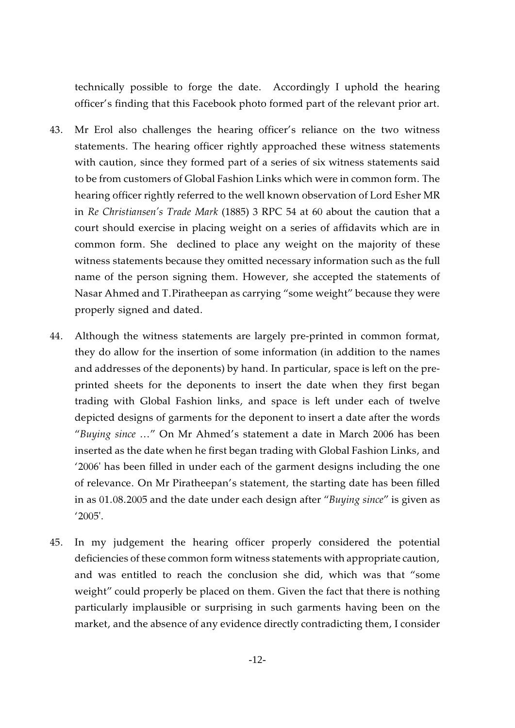technically possible to forge the date. Accordingly I uphold the hearing officer's finding that this Facebook photo formed part of the relevant prior art.

- 43. Mr Erol also challenges the hearing officer's reliance on the two witness statements. The hearing officer rightly approached these witness statements with caution, since they formed part of a series of six witness statements said to be from customers of Global Fashion Links which were in common form. The hearing officer rightly referred to the well known observation of Lord Esher MR in *Re Christiansen's Trade Mark* (1885) 3 RPC 54 at 60 about the caution that a court should exercise in placing weight on a series of affidavits which are in common form. She declined to place any weight on the majority of these witness statements because they omitted necessary information such as the full name of the person signing them. However, she accepted the statements of Nasar Ahmed and T.Piratheepan as carrying "some weight" because they were properly signed and dated.
- 44. Although the witness statements are largely pre-printed in common format, they do allow for the insertion of some information (in addition to the names and addresses of the deponents) by hand. In particular, space is left on the preprinted sheets for the deponents to insert the date when they first began trading with Global Fashion links, and space is left under each of twelve depicted designs of garments for the deponent to insert a date after the words "*Buying since* ..." On Mr Ahmed's statement a date in March 2006 has been inserted as the date when he first began trading with Global Fashion Links, and '2006' has been filled in under each of the garment designs including the one of relevance. On Mr Piratheepan's statement, the starting date has been filled in as 01.08.2005 and the date under each design after "*Buying since*" is given as '2005'.
- 45. In my judgement the hearing officer properly considered the potential deficiencies of these common form witness statements with appropriate caution, and was entitled to reach the conclusion she did, which was that "some weight" could properly be placed on them. Given the fact that there is nothing particularly implausible or surprising in such garments having been on the market, and the absence of any evidence directly contradicting them, I consider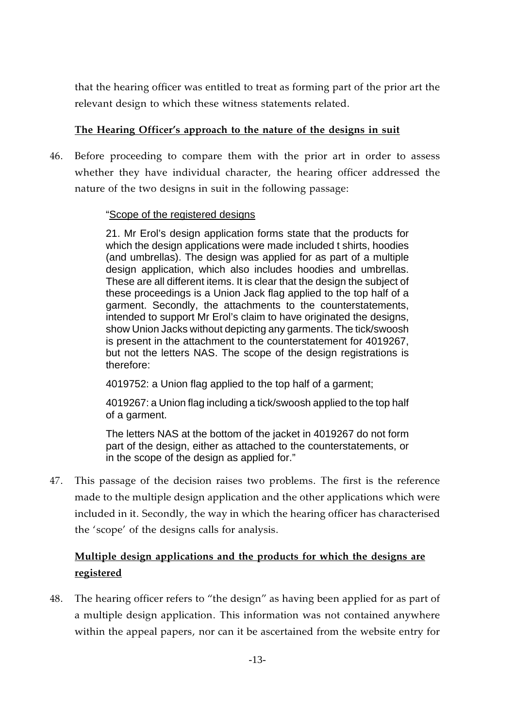that the hearing officer was entitled to treat as forming part of the prior art the relevant design to which these witness statements related.

## **The Hearing Officer's approach to the nature of the designs in suit**

46. Before proceeding to compare them with the prior art in order to assess whether they have individual character, the hearing officer addressed the nature of the two designs in suit in the following passage:

## "Scope of the registered designs

21. Mr Erol's design application forms state that the products for which the design applications were made included t shirts, hoodies (and umbrellas). The design was applied for as part of a multiple design application, which also includes hoodies and umbrellas. These are all different items. It is clear that the design the subject of these proceedings is a Union Jack flag applied to the top half of a garment. Secondly, the attachments to the counterstatements, intended to support Mr Erol's claim to have originated the designs, show Union Jacks without depicting any garments. The tick/swoosh is present in the attachment to the counterstatement for 4019267, but not the letters NAS. The scope of the design registrations is therefore:

4019752: a Union flag applied to the top half of a garment;

4019267: a Union flag including a tick/swoosh applied to the top half of a garment.

The letters NAS at the bottom of the jacket in 4019267 do not form part of the design, either as attached to the counterstatements, or in the scope of the design as applied for."

47. This passage of the decision raises two problems. The first is the reference made to the multiple design application and the other applications which were included in it. Secondly, the way in which the hearing officer has characterised the 'scope' of the designs calls for analysis.

## **Multiple design applications and the products for which the designs are registered**

48. The hearing officer refers to "the design" as having been applied for as part of a multiple design application. This information was not contained anywhere within the appeal papers, nor can it be ascertained from the website entry for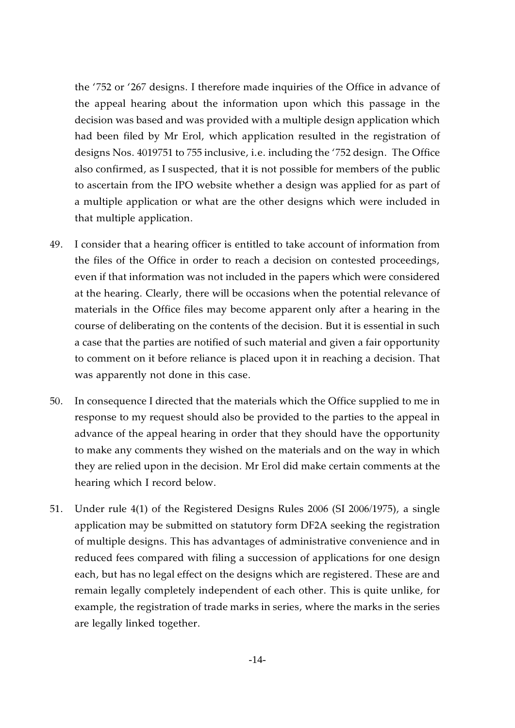the '752 or '267 designs. I therefore made inquiries of the Office in advance of the appeal hearing about the information upon which this passage in the decision was based and was provided with a multiple design application which had been filed by Mr Erol, which application resulted in the registration of designs Nos. 4019751 to 755 inclusive, i.e. including the '752 design. The Office also confirmed, as I suspected, that it is not possible for members of the public to ascertain from the IPO website whether a design was applied for as part of a multiple application or what are the other designs which were included in that multiple application.

- 49. I consider that a hearing officer is entitled to take account of information from the files of the Office in order to reach a decision on contested proceedings, even if that information was not included in the papers which were considered at the hearing. Clearly, there will be occasions when the potential relevance of materials in the Office files may become apparent only after a hearing in the course of deliberating on the contents of the decision. But it is essential in such a case that the parties are notified of such material and given a fair opportunity to comment on it before reliance is placed upon it in reaching a decision. That was apparently not done in this case.
- 50. In consequence I directed that the materials which the Office supplied to me in response to my request should also be provided to the parties to the appeal in advance of the appeal hearing in order that they should have the opportunity to make any comments they wished on the materials and on the way in which they are relied upon in the decision. Mr Erol did make certain comments at the hearing which I record below.
- 51. Under rule 4(1) of the Registered Designs Rules 2006 (SI 2006/1975), a single application may be submitted on statutory form DF2A seeking the registration of multiple designs. This has advantages of administrative convenience and in reduced fees compared with filing a succession of applications for one design each, but has no legal effect on the designs which are registered. These are and remain legally completely independent of each other. This is quite unlike, for example, the registration of trade marks in series, where the marks in the series are legally linked together.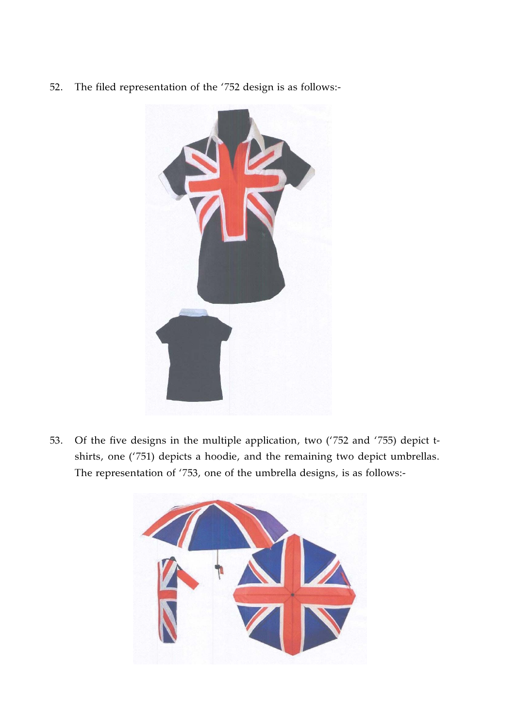52. The filed representation of the '752 design is as follows:-



53. Of the five designs in the multiple application, two ('752 and '755) depict tshirts, one ('751) depicts a hoodie, and the remaining two depict umbrellas. The representation of '753, one of the umbrella designs, is as follows:-

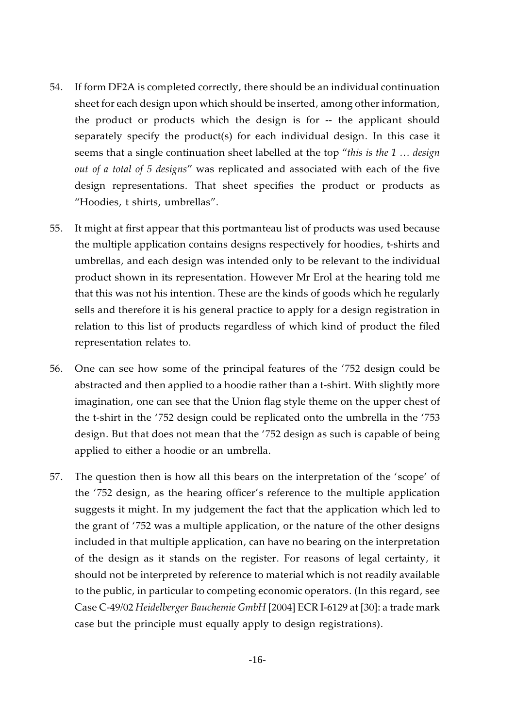- 54. If form DF2A is completed correctly, there should be an individual continuation sheet for each design upon which should be inserted, among other information, the product or products which the design is for -- the applicant should separately specify the product(s) for each individual design. In this case it seems that a single continuation sheet labelled at the top "*this is the 1 ... design out of a total of 5 designs*" was replicated and associated with each of the five design representations. That sheet specifies the product or products as "Hoodies, t shirts, umbrellas".
- 55. It might at first appear that this portmanteau list of products was used because the multiple application contains designs respectively for hoodies, t-shirts and umbrellas, and each design was intended only to be relevant to the individual product shown in its representation. However Mr Erol at the hearing told me that this was not his intention. These are the kinds of goods which he regularly sells and therefore it is his general practice to apply for a design registration in relation to this list of products regardless of which kind of product the filed representation relates to.
- 56. One can see how some of the principal features of the '752 design could be abstracted and then applied to a hoodie rather than a t-shirt. With slightly more imagination, one can see that the Union flag style theme on the upper chest of the t-shirt in the '752 design could be replicated onto the umbrella in the '753 design. But that does not mean that the '752 design as such is capable of being applied to either a hoodie or an umbrella.
- 57. The question then is how all this bears on the interpretation of the 'scope' of the '752 design, as the hearing officer's reference to the multiple application suggests it might. In my judgement the fact that the application which led to the grant of '752 was a multiple application, or the nature of the other designs included in that multiple application, can have no bearing on the interpretation of the design as it stands on the register. For reasons of legal certainty, it should not be interpreted by reference to material which is not readily available to the public, in particular to competing economic operators. (In this regard, see Case C-49/02 *Heidelberger Bauchemie GmbH* [2004] ECR I-6129 at [30]: a trade mark case but the principle must equally apply to design registrations).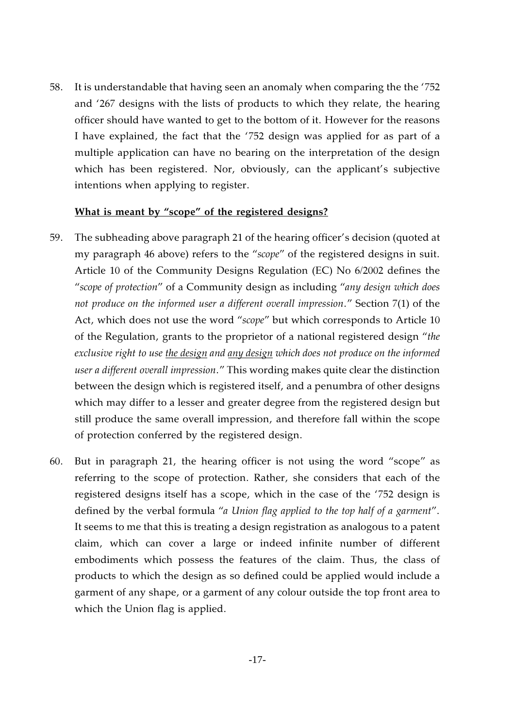58. It is understandable that having seen an anomaly when comparing the the '752 and '267 designs with the lists of products to which they relate, the hearing officer should have wanted to get to the bottom of it. However for the reasons I have explained, the fact that the '752 design was applied for as part of a multiple application can have no bearing on the interpretation of the design which has been registered. Nor, obviously, can the applicant's subjective intentions when applying to register.

#### **What is meant by "scope" of the registered designs?**

- 59. The subheading above paragraph 21 of the hearing officer's decision (quoted at my paragraph 46 above) refers to the "*scope*" of the registered designs in suit. Article 10 of the Community Designs Regulation (EC) No 6/2002 defines the "*scope of protection*" of a Community design as including "*any design which does not produce on the informed user a different overall impression*." Section 7(1) of the Act, which does not use the word "*scope*" but which corresponds to Article 10 of the Regulation, grants to the proprietor of a national registered design "*the exclusive right to use the design and any design which does not produce on the informed user a different overall impression*." This wording makes quite clear the distinction between the design which is registered itself, and a penumbra of other designs which may differ to a lesser and greater degree from the registered design but still produce the same overall impression, and therefore fall within the scope of protection conferred by the registered design.
- 60. But in paragraph 21, the hearing officer is not using the word "scope" as referring to the scope of protection. Rather, she considers that each of the registered designs itself has a scope, which in the case of the '752 design is defined by the verbal formula "*a Union flag applied to the top half of a garment*". It seems to me that this is treating a design registration as analogous to a patent claim, which can cover a large or indeed infinite number of different embodiments which possess the features of the claim. Thus, the class of products to which the design as so defined could be applied would include a garment of any shape, or a garment of any colour outside the top front area to which the Union flag is applied.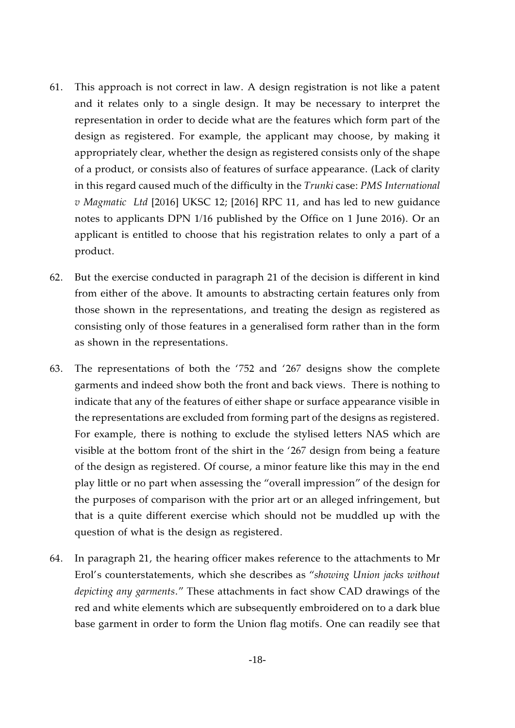- 61. This approach is not correct in law. A design registration is not like a patent and it relates only to a single design. It may be necessary to interpret the representation in order to decide what are the features which form part of the design as registered. For example, the applicant may choose, by making it appropriately clear, whether the design as registered consists only of the shape of a product, or consists also of features of surface appearance. (Lack of clarity in this regard caused much of the difficulty in the *Trunki* case: *PMS International v Magmatic Ltd* [2016] UKSC 12; [2016] RPC 11, and has led to new guidance notes to applicants DPN 1/16 published by the Office on 1 June 2016). Or an applicant is entitled to choose that his registration relates to only a part of a product.
- 62. But the exercise conducted in paragraph 21 of the decision is different in kind from either of the above. It amounts to abstracting certain features only from those shown in the representations, and treating the design as registered as consisting only of those features in a generalised form rather than in the form as shown in the representations.
- 63. The representations of both the '752 and '267 designs show the complete garments and indeed show both the front and back views. There is nothing to indicate that any of the features of either shape or surface appearance visible in the representations are excluded from forming part of the designs as registered. For example, there is nothing to exclude the stylised letters NAS which are visible at the bottom front of the shirt in the '267 design from being a feature of the design as registered. Of course, a minor feature like this may in the end play little or no part when assessing the "overall impression" of the design for the purposes of comparison with the prior art or an alleged infringement, but that is a quite different exercise which should not be muddled up with the question of what is the design as registered.
- 64. In paragraph 21, the hearing officer makes reference to the attachments to Mr Erol's counterstatements, which she describes as "*showing Union jacks without depicting any garments*." These attachments in fact show CAD drawings of the red and white elements which are subsequently embroidered on to a dark blue base garment in order to form the Union flag motifs. One can readily see that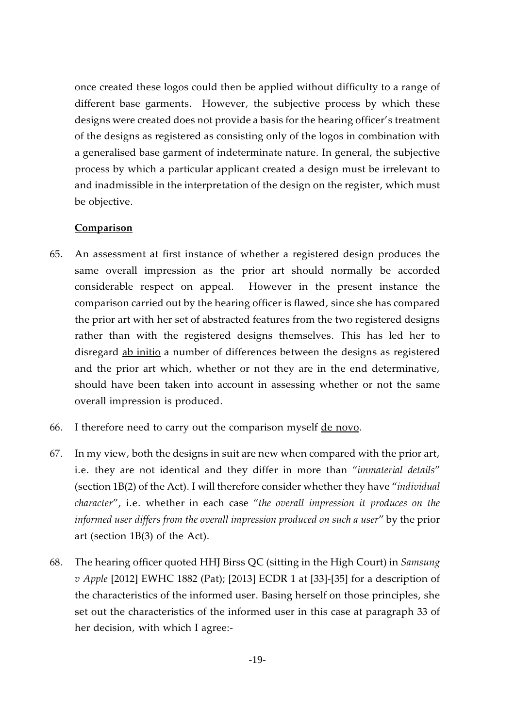once created these logos could then be applied without difficulty to a range of different base garments. However, the subjective process by which these designs were created does not provide a basis for the hearing officer's treatment of the designs as registered as consisting only of the logos in combination with a generalised base garment of indeterminate nature. In general, the subjective process by which a particular applicant created a design must be irrelevant to and inadmissible in the interpretation of the design on the register, which must be objective.

## **Comparison**

- 65. An assessment at first instance of whether a registered design produces the same overall impression as the prior art should normally be accorded considerable respect on appeal. However in the present instance the comparison carried out by the hearing officer is flawed, since she has compared the prior art with her set of abstracted features from the two registered designs rather than with the registered designs themselves. This has led her to disregard ab initio a number of differences between the designs as registered and the prior art which, whether or not they are in the end determinative, should have been taken into account in assessing whether or not the same overall impression is produced.
- 66. I therefore need to carry out the comparison myself de novo.
- 67. In my view, both the designs in suit are new when compared with the prior art, i.e. they are not identical and they differ in more than "*immaterial details*" (section 1B(2) of the Act). I will therefore consider whether they have "*individual character*", i.e. whether in each case "*the overall impression it produces on the informed user differs from the overall impression produced on such a user*" by the prior art (section 1B(3) of the Act).
- 68. The hearing officer quoted HHJ Birss QC (sitting in the High Court) in *Samsung v Apple* [2012] EWHC 1882 (Pat); [2013] ECDR 1 at [33]-[35] for a description of the characteristics of the informed user. Basing herself on those principles, she set out the characteristics of the informed user in this case at paragraph 33 of her decision, with which I agree:-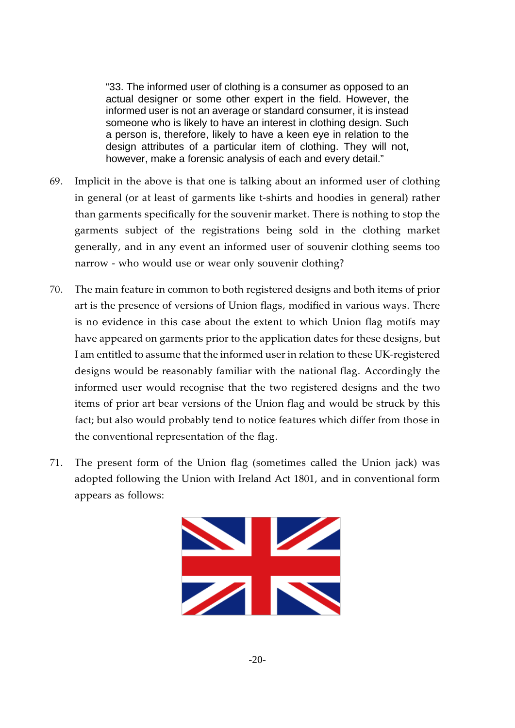"33. The informed user of clothing is a consumer as opposed to an actual designer or some other expert in the field. However, the informed user is not an average or standard consumer, it is instead someone who is likely to have an interest in clothing design. Such a person is, therefore, likely to have a keen eye in relation to the design attributes of a particular item of clothing. They will not, however, make a forensic analysis of each and every detail."

- 69. Implicit in the above is that one is talking about an informed user of clothing in general (or at least of garments like t-shirts and hoodies in general) rather than garments specifically for the souvenir market. There is nothing to stop the garments subject of the registrations being sold in the clothing market generally, and in any event an informed user of souvenir clothing seems too narrow - who would use or wear only souvenir clothing?
- 70. The main feature in common to both registered designs and both items of prior art is the presence of versions of Union flags, modified in various ways. There is no evidence in this case about the extent to which Union flag motifs may have appeared on garments prior to the application dates for these designs, but I am entitled to assume that the informed user in relation to these UK-registered designs would be reasonably familiar with the national flag. Accordingly the informed user would recognise that the two registered designs and the two items of prior art bear versions of the Union flag and would be struck by this fact; but also would probably tend to notice features which differ from those in the conventional representation of the flag.
- 71. The present form of the Union flag (sometimes called the Union jack) was adopted following the Union with Ireland Act 1801, and in conventional form appears as follows:

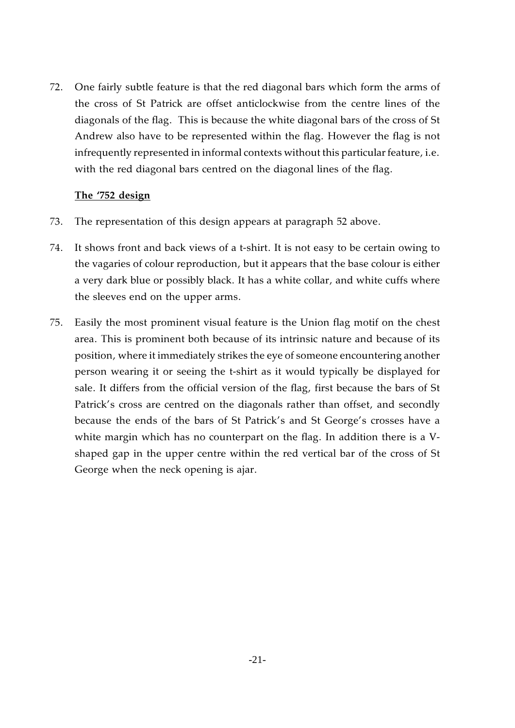72. One fairly subtle feature is that the red diagonal bars which form the arms of the cross of St Patrick are offset anticlockwise from the centre lines of the diagonals of the flag. This is because the white diagonal bars of the cross of St Andrew also have to be represented within the flag. However the flag is not infrequently represented in informal contexts without this particular feature, i.e. with the red diagonal bars centred on the diagonal lines of the flag.

## **The '752 design**

- 73. The representation of this design appears at paragraph 52 above.
- 74. It shows front and back views of a t-shirt. It is not easy to be certain owing to the vagaries of colour reproduction, but it appears that the base colour is either a very dark blue or possibly black. It has a white collar, and white cuffs where the sleeves end on the upper arms.
- 75. Easily the most prominent visual feature is the Union flag motif on the chest area. This is prominent both because of its intrinsic nature and because of its position, where it immediately strikes the eye of someone encountering another person wearing it or seeing the t-shirt as it would typically be displayed for sale. It differs from the official version of the flag, first because the bars of St Patrick's cross are centred on the diagonals rather than offset, and secondly because the ends of the bars of St Patrick's and St George's crosses have a white margin which has no counterpart on the flag. In addition there is a Vshaped gap in the upper centre within the red vertical bar of the cross of St George when the neck opening is ajar.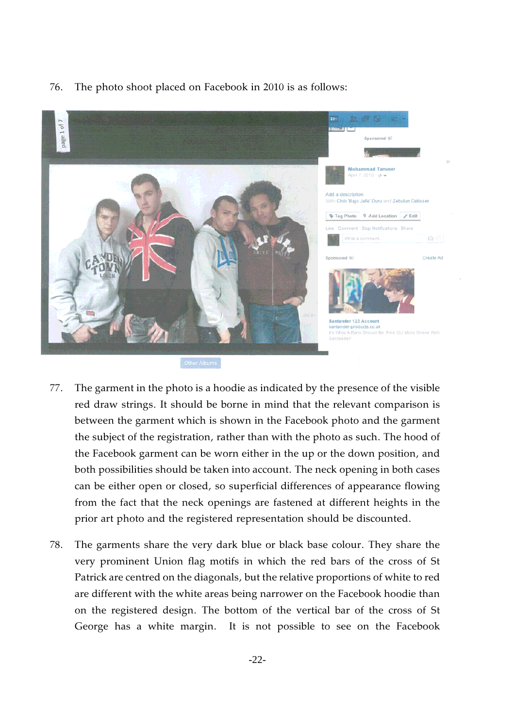

76. The photo shoot placed on Facebook in 2010 is as follows:

- 77. The garment in the photo is a hoodie as indicated by the presence of the visible red draw strings. It should be borne in mind that the relevant comparison is between the garment which is shown in the Facebook photo and the garment the subject of the registration, rather than with the photo as such. The hood of the Facebook garment can be worn either in the up or the down position, and both possibilities should be taken into account. The neck opening in both cases can be either open or closed, so superficial differences of appearance flowing from the fact that the neck openings are fastened at different heights in the prior art photo and the registered representation should be discounted.
- 78. The garments share the very dark blue or black base colour. They share the very prominent Union flag motifs in which the red bars of the cross of St Patrick are centred on the diagonals, but the relative proportions of white to red are different with the white areas being narrower on the Facebook hoodie than on the registered design. The bottom of the vertical bar of the cross of St George has a white margin. It is not possible to see on the Facebook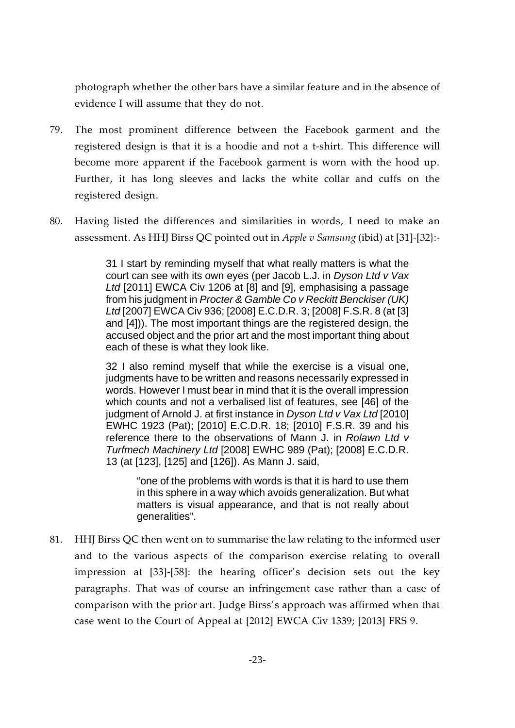photograph whether the other bars have a similar feature and in the absence of evidence I will assume that they do not.

- 79. The most prominent difference between the Facebook garment and the registered design is that it is a hoodie and not a t-shirt. This difference will become more apparent if the Facebook garment is worn with the hood up. Further, it has long sleeves and lacks the white collar and cuffs on the registered design.
- 80. Having listed the differences and similarities in words, I need to make an assessment. As HHJ Birss QC pointed out in *Apple v Samsung* (ibid) at [31]-[32}:-

31 I start by reminding myself that what really matters is what the court can see with its own eyes (per Jacob L.J. in *Dyson Ltd v Vax Ltd* [2011] EWCA Civ 1206 at [8] and [9], emphasising a passage from his judgment in *Procter & Gamble Co v Reckitt Benckiser (UK) Ltd* [2007] EWCA Civ 936; [2008] E.C.D.R. 3; [2008] F.S.R. 8 (at [3] and [4])). The most important things are the registered design, the accused object and the prior art and the most important thing about each of these is what they look like.

32 I also remind myself that while the exercise is a visual one, judgments have to be written and reasons necessarily expressed in words. However I must bear in mind that it is the overall impression which counts and not a verbalised list of features, see [46] of the judgment of Arnold J. at first instance in *Dyson Ltd v Vax Ltd* [2010] EWHC 1923 (Pat); [2010] E.C.D.R. 18; [2010] F.S.R. 39 and his reference there to the observations of Mann J. in *Rolawn Ltd v Turfmech Machinery Ltd* [2008] EWHC 989 (Pat); [2008] E.C.D.R. 13 (at [123], [125] and [126]). As Mann J. said,

"one of the problems with words is that it is hard to use them in this sphere in a way which avoids generalization. But what matters is visual appearance, and that is not really about generalities".

81. HHJ Birss QC then went on to summarise the law relating to the informed user and to the various aspects of the comparison exercise relating to overall impression at [33]-[58]: the hearing officer's decision sets out the key paragraphs. That was of course an infringement case rather than a case of comparison with the prior art. Judge Birss's approach was affirmed when that case went to the Court of Appeal at [2012] EWCA Civ 1339; [2013] FRS 9.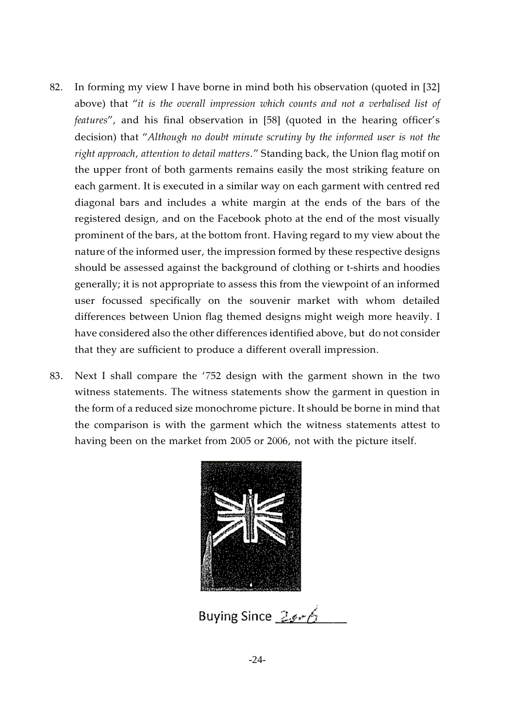- 82. In forming my view I have borne in mind both his observation (quoted in [32] above) that "*it is the overall impression which counts and not a verbalised list of features*", and his final observation in [58] (quoted in the hearing officer's decision) that "*Although no doubt minute scrutiny by the informed user is not the right approach, attention to detail matters*." Standing back, the Union flag motif on the upper front of both garments remains easily the most striking feature on each garment. It is executed in a similar way on each garment with centred red diagonal bars and includes a white margin at the ends of the bars of the registered design, and on the Facebook photo at the end of the most visually prominent of the bars, at the bottom front. Having regard to my view about the nature of the informed user, the impression formed by these respective designs should be assessed against the background of clothing or t-shirts and hoodies generally; it is not appropriate to assess this from the viewpoint of an informed user focussed specifically on the souvenir market with whom detailed differences between Union flag themed designs might weigh more heavily. I have considered also the other differences identified above, but do not consider that they are sufficient to produce a different overall impression.
- 83. Next I shall compare the '752 design with the garment shown in the two witness statements. The witness statements show the garment in question in the form of a reduced size monochrome picture. It should be borne in mind that the comparison is with the garment which the witness statements attest to having been on the market from 2005 or 2006, not with the picture itself.



Buying Since 23-6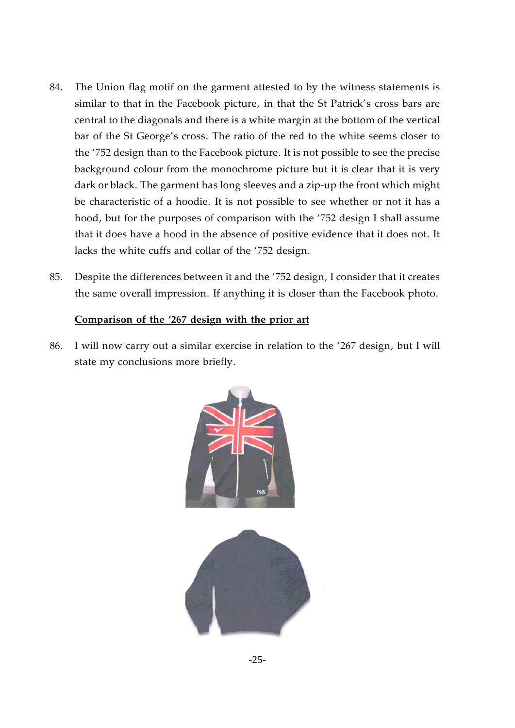- 84. The Union flag motif on the garment attested to by the witness statements is similar to that in the Facebook picture, in that the St Patrick's cross bars are central to the diagonals and there is a white margin at the bottom of the vertical bar of the St George's cross. The ratio of the red to the white seems closer to the '752 design than to the Facebook picture. It is not possible to see the precise background colour from the monochrome picture but it is clear that it is very dark or black. The garment has long sleeves and a zip-up the front which might be characteristic of a hoodie. It is not possible to see whether or not it has a hood, but for the purposes of comparison with the '752 design I shall assume that it does have a hood in the absence of positive evidence that it does not. It lacks the white cuffs and collar of the '752 design.
- 85. Despite the differences between it and the '752 design, I consider that it creates the same overall impression. If anything it is closer than the Facebook photo.

## **Comparison of the '267 design with the prior art**

86. I will now carry out a similar exercise in relation to the '267 design, but I will state my conclusions more briefly.

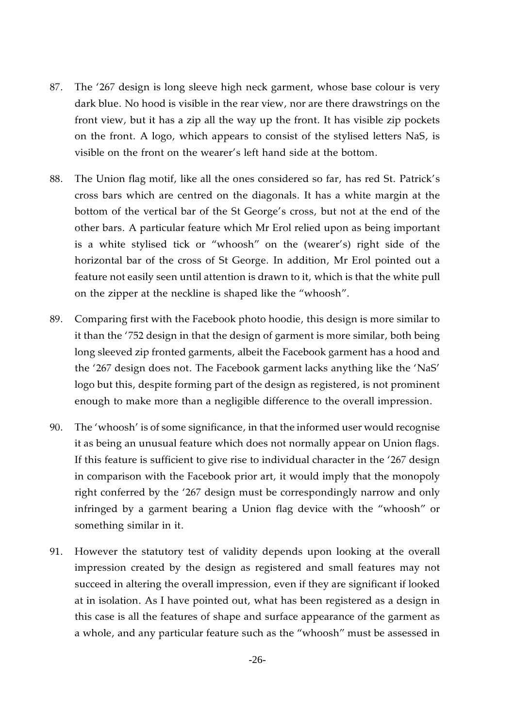- 87. The '267 design is long sleeve high neck garment, whose base colour is very dark blue. No hood is visible in the rear view, nor are there drawstrings on the front view, but it has a zip all the way up the front. It has visible zip pockets on the front. A logo, which appears to consist of the stylised letters NaS, is visible on the front on the wearer's left hand side at the bottom.
- 88. The Union flag motif, like all the ones considered so far, has red St. Patrick's cross bars which are centred on the diagonals. It has a white margin at the bottom of the vertical bar of the St George's cross, but not at the end of the other bars. A particular feature which Mr Erol relied upon as being important is a white stylised tick or "whoosh" on the (wearer's) right side of the horizontal bar of the cross of St George. In addition, Mr Erol pointed out a feature not easily seen until attention is drawn to it, which is that the white pull on the zipper at the neckline is shaped like the "whoosh".
- 89. Comparing first with the Facebook photo hoodie, this design is more similar to it than the '752 design in that the design of garment is more similar, both being long sleeved zip fronted garments, albeit the Facebook garment has a hood and the '267 design does not. The Facebook garment lacks anything like the 'NaS' logo but this, despite forming part of the design as registered, is not prominent enough to make more than a negligible difference to the overall impression.
- 90. The 'whoosh' is of some significance, in that the informed user would recognise it as being an unusual feature which does not normally appear on Union flags. If this feature is sufficient to give rise to individual character in the '267 design in comparison with the Facebook prior art, it would imply that the monopoly right conferred by the '267 design must be correspondingly narrow and only infringed by a garment bearing a Union flag device with the "whoosh" or something similar in it.
- 91. However the statutory test of validity depends upon looking at the overall impression created by the design as registered and small features may not succeed in altering the overall impression, even if they are significant if looked at in isolation. As I have pointed out, what has been registered as a design in this case is all the features of shape and surface appearance of the garment as a whole, and any particular feature such as the "whoosh" must be assessed in